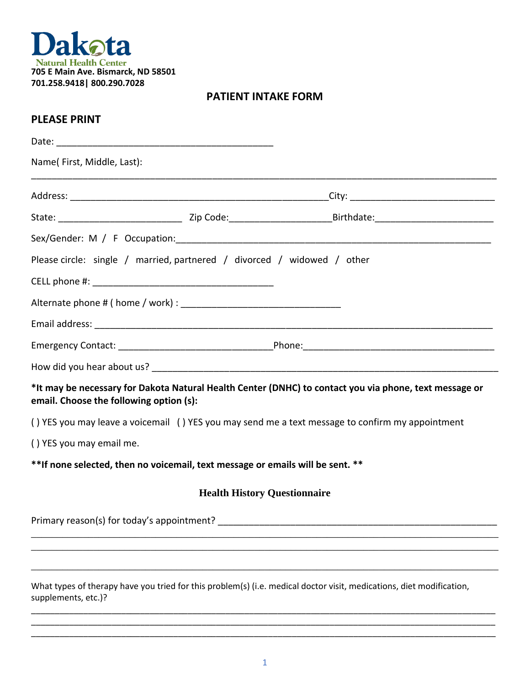

## **PATIENT INTAKE FORM**

## **PLEASE PRINT**

| Name(First, Middle, Last):                                                     |                                                                                                                      |
|--------------------------------------------------------------------------------|----------------------------------------------------------------------------------------------------------------------|
|                                                                                |                                                                                                                      |
|                                                                                |                                                                                                                      |
|                                                                                |                                                                                                                      |
| Please circle: single / married, partnered / divorced / widowed / other        |                                                                                                                      |
|                                                                                |                                                                                                                      |
|                                                                                |                                                                                                                      |
|                                                                                |                                                                                                                      |
|                                                                                |                                                                                                                      |
|                                                                                |                                                                                                                      |
| email. Choose the following option (s):                                        | *It may be necessary for Dakota Natural Health Center (DNHC) to contact you via phone, text message or               |
|                                                                                | () YES you may leave a voicemail () YES you may send me a text message to confirm my appointment                     |
| () YES you may email me.                                                       |                                                                                                                      |
| **If none selected, then no voicemail, text message or emails will be sent. ** |                                                                                                                      |
|                                                                                | <b>Health History Questionnaire</b>                                                                                  |
| Primary reason(s) for today's appointment?                                     |                                                                                                                      |
|                                                                                |                                                                                                                      |
|                                                                                |                                                                                                                      |
| supplements, etc.)?                                                            | What types of therapy have you tried for this problem(s) (i.e. medical doctor visit, medications, diet modification, |

\_\_\_\_\_\_\_\_\_\_\_\_\_\_\_\_\_\_\_\_\_\_\_\_\_\_\_\_\_\_\_\_\_\_\_\_\_\_\_\_\_\_\_\_\_\_\_\_\_\_\_\_\_\_\_\_\_\_\_\_\_\_\_\_\_\_\_\_\_\_\_\_\_\_\_\_\_\_\_\_\_\_\_\_\_\_\_\_\_\_\_\_\_\_\_\_\_\_ \_\_\_\_\_\_\_\_\_\_\_\_\_\_\_\_\_\_\_\_\_\_\_\_\_\_\_\_\_\_\_\_\_\_\_\_\_\_\_\_\_\_\_\_\_\_\_\_\_\_\_\_\_\_\_\_\_\_\_\_\_\_\_\_\_\_\_\_\_\_\_\_\_\_\_\_\_\_\_\_\_\_\_\_\_\_\_\_\_\_\_\_\_\_\_\_\_\_ \_\_\_\_\_\_\_\_\_\_\_\_\_\_\_\_\_\_\_\_\_\_\_\_\_\_\_\_\_\_\_\_\_\_\_\_\_\_\_\_\_\_\_\_\_\_\_\_\_\_\_\_\_\_\_\_\_\_\_\_\_\_\_\_\_\_\_\_\_\_\_\_\_\_\_\_\_\_\_\_\_\_\_\_\_\_\_\_\_\_\_\_\_\_\_\_\_\_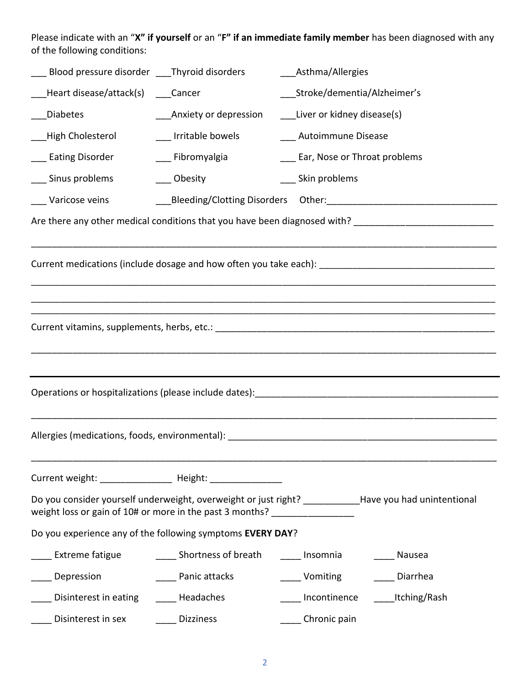Please indicate with an "**X" if yourself** or an "**F" if an immediate family member** has been diagnosed with any of the following conditions:

| Blood pressure disorder Thyroid disorders |                                                                            | Asthma/Allergies                                                                                               |
|-------------------------------------------|----------------------------------------------------------------------------|----------------------------------------------------------------------------------------------------------------|
| Heart disease/attack(s) ____Cancer        |                                                                            | _Stroke/dementia/Alzheimer's                                                                                   |
| <b>Diabetes</b>                           | ____Anxiety or depression                                                  | ___Liver or kidney disease(s)                                                                                  |
| High Cholesterol                          | ___ Irritable bowels                                                       | ___ Autoimmune Disease                                                                                         |
| ___ Eating Disorder                       | ___ Fibromyalgia                                                           | ___ Ear, Nose or Throat problems                                                                               |
| _ Sinus problems                          | Obesity                                                                    | ___ Skin problems                                                                                              |
| _ Varicose veins                          |                                                                            |                                                                                                                |
|                                           |                                                                            |                                                                                                                |
|                                           |                                                                            |                                                                                                                |
|                                           |                                                                            | Current medications (include dosage and how often you take each): __________________________________           |
|                                           |                                                                            |                                                                                                                |
|                                           |                                                                            |                                                                                                                |
|                                           |                                                                            |                                                                                                                |
|                                           |                                                                            |                                                                                                                |
|                                           |                                                                            |                                                                                                                |
|                                           |                                                                            | Operations or hospitalizations (please include dates): [19] [2010] [2010] [2010] [2010] [2010] [2010] [2010] [ |
|                                           |                                                                            |                                                                                                                |
|                                           |                                                                            |                                                                                                                |
|                                           |                                                                            |                                                                                                                |
|                                           | Current weight: _________________ Height: ________________                 |                                                                                                                |
|                                           | weight loss or gain of 10# or more in the past 3 months? _________________ | Do you consider yourself underweight, overweight or just right? ___________Have you had unintentional          |
|                                           | Do you experience any of the following symptoms EVERY DAY?                 |                                                                                                                |
| Extreme fatigue                           | Shortness of breath                                                        | Insomnia<br>Nausea                                                                                             |
| Depression                                | _____ Panic attacks                                                        | ____ Vomiting<br>Diarrhea                                                                                      |
| Disinterest in eating                     | Headaches                                                                  | ______Itching/Rash<br>Incontinence                                                                             |
| Disinterest in sex                        | <b>Dizziness</b>                                                           | ______Chronic pain                                                                                             |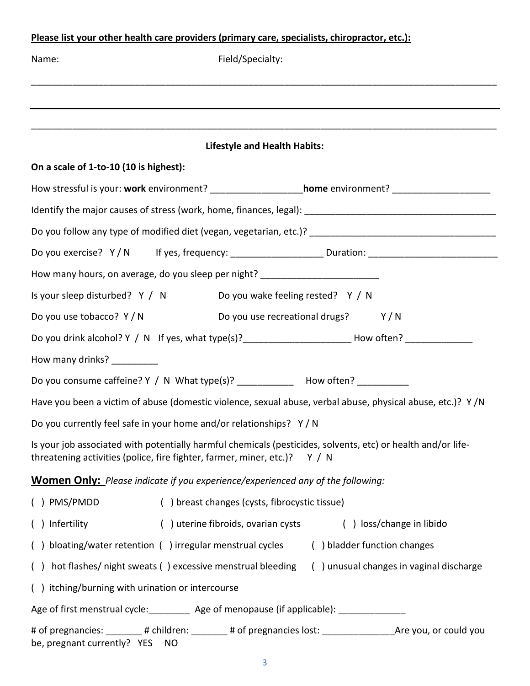## **Please list your other health care providers (primary care, specialists, chiropractor, etc.):**

| Name:                                                                                                                                                                                       | Field/Specialty:                                                                                         |  |  |  |
|---------------------------------------------------------------------------------------------------------------------------------------------------------------------------------------------|----------------------------------------------------------------------------------------------------------|--|--|--|
|                                                                                                                                                                                             |                                                                                                          |  |  |  |
|                                                                                                                                                                                             |                                                                                                          |  |  |  |
| <b>Lifestyle and Health Habits:</b>                                                                                                                                                         |                                                                                                          |  |  |  |
| On a scale of 1-to-10 (10 is highest):                                                                                                                                                      |                                                                                                          |  |  |  |
|                                                                                                                                                                                             | How stressful is your: work environment? _____________________home environment? ________________________ |  |  |  |
|                                                                                                                                                                                             |                                                                                                          |  |  |  |
|                                                                                                                                                                                             |                                                                                                          |  |  |  |
|                                                                                                                                                                                             | Do you exercise? Y/N If yes, frequency: _____________________Duration: _____________________________     |  |  |  |
|                                                                                                                                                                                             | How many hours, on average, do you sleep per night? ____________________________                         |  |  |  |
|                                                                                                                                                                                             | Is your sleep disturbed? Y / N Do you wake feeling rested? Y / N                                         |  |  |  |
| Do you use tobacco? Y/N                                                                                                                                                                     | Do you use recreational drugs? Y/N                                                                       |  |  |  |
|                                                                                                                                                                                             | Do you drink alcohol? Y / N If yes, what type(s)?________________________How often? _______________      |  |  |  |
| How many drinks? __________                                                                                                                                                                 |                                                                                                          |  |  |  |
|                                                                                                                                                                                             | Do you consume caffeine? Y / N What type(s)? _____________ How often? __________                         |  |  |  |
| Have you been a victim of abuse (domestic violence, sexual abuse, verbal abuse, physical abuse, etc.)? Y/N                                                                                  |                                                                                                          |  |  |  |
| Do you currently feel safe in your home and/or relationships? Y/N                                                                                                                           |                                                                                                          |  |  |  |
| Is your job associated with potentially harmful chemicals (pesticides, solvents, etc) or health and/or life-<br>threatening activities (police, fire fighter, farmer, miner, etc.)? $Y / N$ |                                                                                                          |  |  |  |
| <b>Women Only:</b> Please indicate if you experience/experienced any of the following:                                                                                                      |                                                                                                          |  |  |  |
| $( )$ PMS/PMDD                                                                                                                                                                              | () breast changes (cysts, fibrocystic tissue)                                                            |  |  |  |
| () Infertility                                                                                                                                                                              | () uterine fibroids, ovarian cysts<br>() loss/change in libido                                           |  |  |  |
|                                                                                                                                                                                             | () bloating/water retention () irregular menstrual cycles () bladder function changes                    |  |  |  |
|                                                                                                                                                                                             | () hot flashes/ night sweats () excessive menstrual bleeding<br>() unusual changes in vaginal discharge  |  |  |  |
| () itching/burning with urination or intercourse                                                                                                                                            |                                                                                                          |  |  |  |
| Age of first menstrual cycle: __________ Age of menopause (if applicable): _______________                                                                                                  |                                                                                                          |  |  |  |
| be, pregnant currently? YES NO                                                                                                                                                              |                                                                                                          |  |  |  |